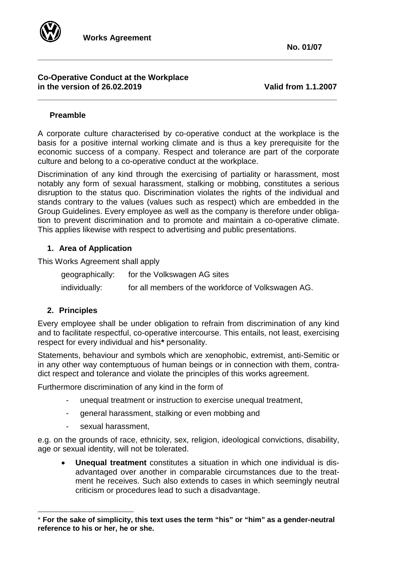

#### **Co-Operative Conduct at the Workplace in the version of 26.02.2019 Valid from 1.1.2007**

## **Preamble**

A corporate culture characterised by co-operative conduct at the workplace is the basis for a positive internal working climate and is thus a key prerequisite for the economic success of a company. Respect and tolerance are part of the corporate culture and belong to a co-operative conduct at the workplace.

**\_\_\_\_\_\_\_\_\_\_\_\_\_\_\_\_\_\_\_\_\_\_\_\_\_\_\_\_\_\_\_\_\_\_\_\_\_\_\_\_\_\_\_\_\_\_\_\_\_\_\_\_\_\_\_\_\_\_\_\_\_\_\_\_\_\_**

**\_\_\_\_\_\_\_\_\_\_\_\_\_\_\_\_\_\_\_\_\_\_\_\_\_\_\_\_\_\_\_\_\_\_\_\_\_\_\_\_\_\_\_\_\_\_\_\_\_\_\_\_\_\_\_\_\_\_\_\_\_\_\_\_\_\_\_**

Discrimination of any kind through the exercising of partiality or harassment, most notably any form of sexual harassment, stalking or mobbing, constitutes a serious disruption to the status quo. Discrimination violates the rights of the individual and stands contrary to the values (values such as respect) which are embedded in the Group Guidelines. Every employee as well as the company is therefore under obligation to prevent discrimination and to promote and maintain a co-operative climate. This applies likewise with respect to advertising and public presentations.

# **1. Area of Application**

This Works Agreement shall apply

| geographically: | for the Volkswagen AG sites                        |
|-----------------|----------------------------------------------------|
| individually:   | for all members of the workforce of Volkswagen AG. |

# **2. Principles**

 $\overline{a}$ 

Every employee shall be under obligation to refrain from discrimination of any kind and to facilitate respectful, co-operative intercourse. This entails, not least, exercising respect for every individual and his**[\\*](#page-0-0)** personality.

Statements, behaviour and symbols which are xenophobic, extremist, anti-Semitic or in any other way contemptuous of human beings or in connection with them, contradict respect and tolerance and violate the principles of this works agreement.

Furthermore discrimination of any kind in the form of

- unequal treatment or instruction to exercise unequal treatment,
- general harassment, stalking or even mobbing and
- sexual harassment,

e.g. on the grounds of race, ethnicity, sex, religion, ideological convictions, disability, age or sexual identity, will not be tolerated.

• **Unequal treatment** constitutes a situation in which one individual is disadvantaged over another in comparable circumstances due to the treatment he receives. Such also extends to cases in which seemingly neutral criticism or procedures lead to such a disadvantage.

<span id="page-0-0"></span><sup>\*</sup> **For the sake of simplicity, this text uses the term "his" or "him" as a gender-neutral reference to his or her, he or she.**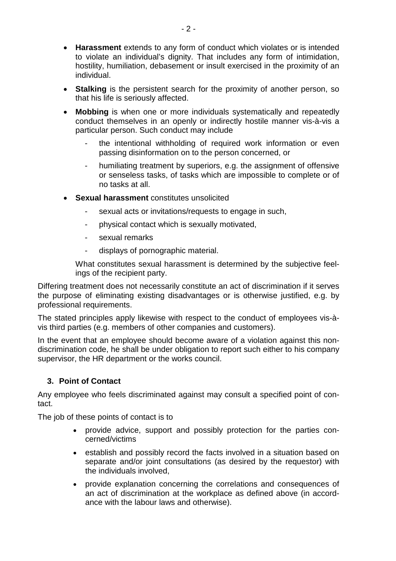- **Harassment** extends to any form of conduct which violates or is intended to violate an individual's dignity. That includes any form of intimidation, hostility, humiliation, debasement or insult exercised in the proximity of an individual.
- **Stalking** is the persistent search for the proximity of another person, so that his life is seriously affected.
- **Mobbing** is when one or more individuals systematically and repeatedly conduct themselves in an openly or indirectly hostile manner vis-à-vis a particular person. Such conduct may include
	- the intentional withholding of required work information or even passing disinformation on to the person concerned, or
	- humiliating treatment by superiors, e.g. the assignment of offensive or senseless tasks, of tasks which are impossible to complete or of no tasks at all.
- **Sexual harassment** constitutes unsolicited
	- sexual acts or invitations/requests to engage in such,
	- physical contact which is sexually motivated,
	- sexual remarks
	- displays of pornographic material.

What constitutes sexual harassment is determined by the subjective feelings of the recipient party.

Differing treatment does not necessarily constitute an act of discrimination if it serves the purpose of eliminating existing disadvantages or is otherwise justified, e.g. by professional requirements.

The stated principles apply likewise with respect to the conduct of employees vis-àvis third parties (e.g. members of other companies and customers).

In the event that an employee should become aware of a violation against this nondiscrimination code, he shall be under obligation to report such either to his company supervisor, the HR department or the works council.

# **3. Point of Contact**

Any employee who feels discriminated against may consult a specified point of contact.

The job of these points of contact is to

- provide advice, support and possibly protection for the parties concerned/victims
- establish and possibly record the facts involved in a situation based on separate and/or joint consultations (as desired by the requestor) with the individuals involved,
- provide explanation concerning the correlations and consequences of an act of discrimination at the workplace as defined above (in accordance with the labour laws and otherwise).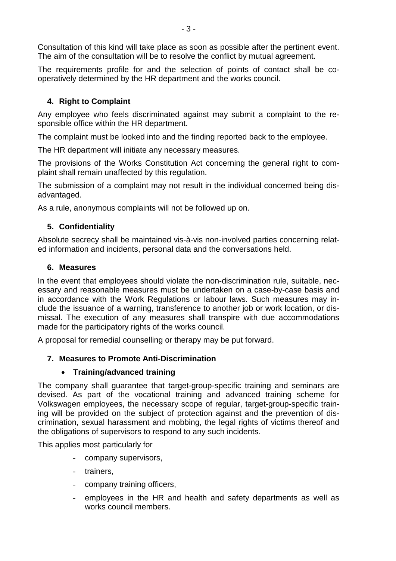Consultation of this kind will take place as soon as possible after the pertinent event. The aim of the consultation will be to resolve the conflict by mutual agreement.

The requirements profile for and the selection of points of contact shall be cooperatively determined by the HR department and the works council.

# **4. Right to Complaint**

Any employee who feels discriminated against may submit a complaint to the responsible office within the HR department.

The complaint must be looked into and the finding reported back to the employee.

The HR department will initiate any necessary measures.

The provisions of the Works Constitution Act concerning the general right to complaint shall remain unaffected by this regulation.

The submission of a complaint may not result in the individual concerned being disadvantaged.

As a rule, anonymous complaints will not be followed up on.

# **5. Confidentiality**

Absolute secrecy shall be maintained vis-à-vis non-involved parties concerning related information and incidents, personal data and the conversations held.

## **6. Measures**

In the event that employees should violate the non-discrimination rule, suitable, necessary and reasonable measures must be undertaken on a case-by-case basis and in accordance with the Work Regulations or labour laws. Such measures may include the issuance of a warning, transference to another job or work location, or dismissal. The execution of any measures shall transpire with due accommodations made for the participatory rights of the works council.

A proposal for remedial counselling or therapy may be put forward.

# **7. Measures to Promote Anti-Discrimination**

# • **Training/advanced training**

The company shall guarantee that target-group-specific training and seminars are devised. As part of the vocational training and advanced training scheme for Volkswagen employees, the necessary scope of regular, target-group-specific training will be provided on the subject of protection against and the prevention of discrimination, sexual harassment and mobbing, the legal rights of victims thereof and the obligations of supervisors to respond to any such incidents.

This applies most particularly for

- company supervisors,
- trainers,
- company training officers,
- employees in the HR and health and safety departments as well as works council members.